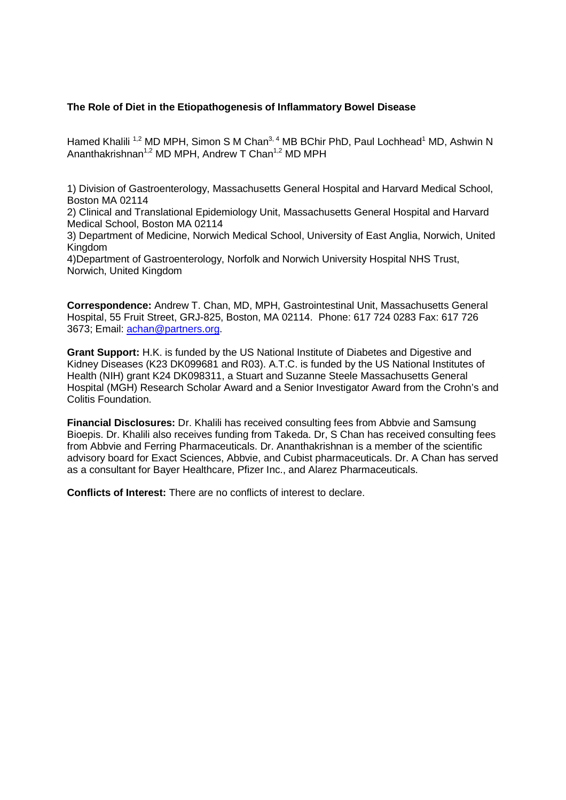# **The Role of Diet in the Etiopathogenesis of Inflammatory Bowel Disease**

Hamed Khalili  $^{1,2}$  MD MPH, Simon S M Chan<sup>3, 4</sup> MB BChir PhD, Paul Lochhead<sup>1</sup> MD, Ashwin N Ananthakrishnan<sup>1,2</sup> MD MPH, Andrew T Chan<sup>1,2</sup> MD MPH

1) Division of Gastroenterology, Massachusetts General Hospital and Harvard Medical School, Boston MA 02114

2) Clinical and Translational Epidemiology Unit, Massachusetts General Hospital and Harvard Medical School, Boston MA 02114

3) Department of Medicine, Norwich Medical School, University of East Anglia, Norwich, United Kingdom

4)Department of Gastroenterology, Norfolk and Norwich University Hospital NHS Trust, Norwich, United Kingdom

**Correspondence:** Andrew T. Chan, MD, MPH, Gastrointestinal Unit, Massachusetts General Hospital, 55 Fruit Street, GRJ-825, Boston, MA 02114. Phone: 617 724 0283 Fax: 617 726 3673; Email: [achan@partners.org.](mailto:achan@partners.org)

**Grant Support:** H.K. is funded by the US National Institute of Diabetes and Digestive and Kidney Diseases (K23 DK099681 and R03). A.T.C. is funded by the US National Institutes of Health (NIH) grant K24 DK098311, a Stuart and Suzanne Steele Massachusetts General Hospital (MGH) Research Scholar Award and a Senior Investigator Award from the Crohn's and Colitis Foundation.

**Financial Disclosures:** Dr. Khalili has received consulting fees from Abbvie and Samsung Bioepis. Dr. Khalili also receives funding from Takeda. Dr, S Chan has received consulting fees from Abbvie and Ferring Pharmaceuticals. Dr. Ananthakrishnan is a member of the scientific advisory board for Exact Sciences, Abbvie, and Cubist pharmaceuticals. Dr. A Chan has served as a consultant for Bayer Healthcare, Pfizer Inc., and Alarez Pharmaceuticals.

**Conflicts of Interest:** There are no conflicts of interest to declare.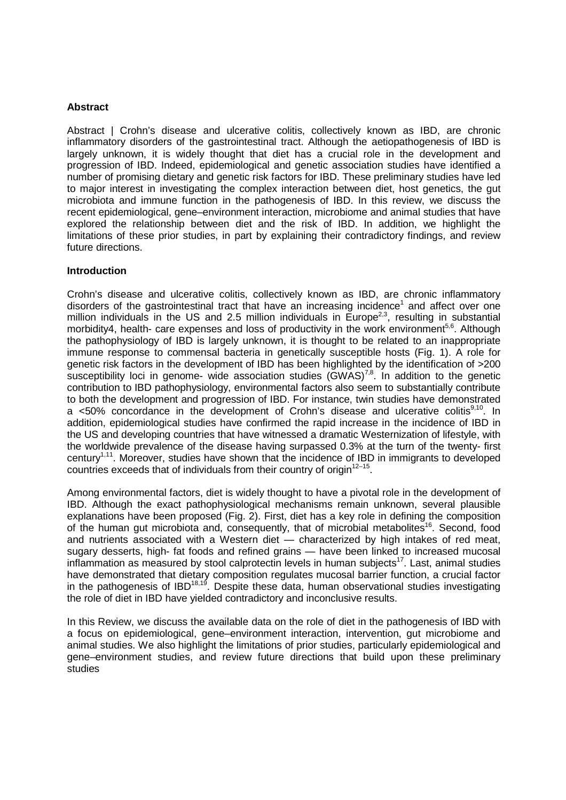# **Abstract**

Abstract | Crohn's disease and ulcerative colitis, collectively known as IBD, are chronic inflammatory disorders of the gastrointestinal tract. Although the aetiopathogenesis of IBD is largely unknown, it is widely thought that diet has a crucial role in the development and progression of IBD. Indeed, epidemiological and genetic association studies have identified a number of promising dietary and genetic risk factors for IBD. These preliminary studies have led to major interest in investigating the complex interaction between diet, host genetics, the gut microbiota and immune function in the pathogenesis of IBD. In this review, we discuss the recent epidemiological, gene–environment interaction, microbiome and animal studies that have explored the relationship between diet and the risk of IBD. In addition, we highlight the limitations of these prior studies, in part by explaining their contradictory findings, and review future directions.

### **Introduction**

Crohn's disease and ulcerative colitis, collectively known as IBD, are chronic inflammatory disorders of the gastrointestinal tract that have an increasing incidence<sup>1</sup> and affect over one million individuals in the US and 2.5 million individuals in Europe<sup>2,3</sup>, resulting in substantial morbidity4, health- care expenses and loss of productivity in the work environment<sup>5,6</sup>. Although the pathophysiology of IBD is largely unknown, it is thought to be related to an inappropriate immune response to commensal bacteria in genetically susceptible hosts (Fig. 1). A role for genetic risk factors in the development of IBD has been highlighted by the identification of >200 susceptibility loci in genome- wide association studies  $(GWAS)^{7,8}$ . In addition to the genetic contribution to IBD pathophysiology, environmental factors also seem to substantially contribute to both the development and progression of IBD. For instance, twin studies have demonstrated a <50% concordance in the development of Crohn's disease and ulcerative colitis<sup>9,10</sup>. In addition, epidemiological studies have confirmed the rapid increase in the incidence of IBD in the US and developing countries that have witnessed a dramatic Westernization of lifestyle, with the worldwide prevalence of the disease having surpassed 0.3% at the turn of the twenty- first century<sup>1,11</sup>. Moreover, studies have shown that the incidence of IBD in immigrants to developed countries exceeds that of individuals from their country of origin $12-15$ .

Among environmental factors, diet is widely thought to have a pivotal role in the development of IBD. Although the exact pathophysiological mechanisms remain unknown, several plausible explanations have been proposed (Fig. 2). First, diet has a key role in defining the composition of the human gut microbiota and, consequently, that of microbial metabolites<sup>16</sup>. Second, food and nutrients associated with a Western diet — characterized by high intakes of red meat, sugary desserts, high- fat foods and refined grains — have been linked to increased mucosal inflammation as measured by stool calprotectin levels in human subjects<sup>17</sup>. Last, animal studies have demonstrated that dietary composition regulates mucosal barrier function, a crucial factor in the pathogenesis of IBD<sup>18,19</sup>. Despite these data, human observational studies investigating the role of diet in IBD have yielded contradictory and inconclusive results.

In this Review, we discuss the available data on the role of diet in the pathogenesis of IBD with a focus on epidemiological, gene–environment interaction, intervention, gut microbiome and animal studies. We also highlight the limitations of prior studies, particularly epidemiological and gene–environment studies, and review future directions that build upon these preliminary studies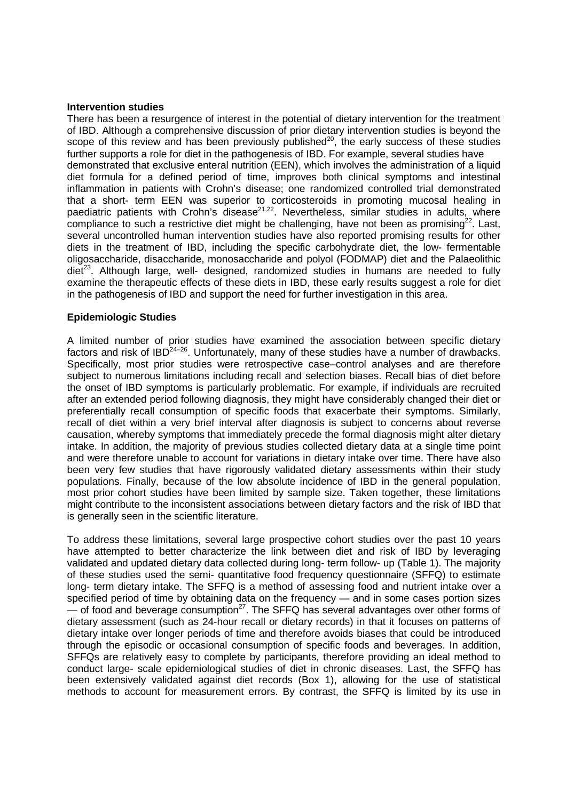#### **Intervention studies**

There has been a resurgence of interest in the potential of dietary intervention for the treatment of IBD. Although a comprehensive discussion of prior dietary intervention studies is beyond the scope of this review and has been previously published<sup>20</sup>, the early success of these studies further supports a role for diet in the pathogenesis of IBD. For example, several studies have demonstrated that exclusive enteral nutrition (EEN), which involves the administration of a liquid diet formula for a defined period of time, improves both clinical symptoms and intestinal inflammation in patients with Crohn's disease; one randomized controlled trial demonstrated that a short- term EEN was superior to corticosteroids in promoting mucosal healing in paediatric patients with Crohn's disease<sup>21,22</sup>. Nevertheless, similar studies in adults, where compliance to such a restrictive diet might be challenging, have not been as promising<sup>22</sup>. Last, several uncontrolled human intervention studies have also reported promising results for other diets in the treatment of IBD, including the specific carbohydrate diet, the low- fermentable oligosaccharide, disaccharide, monosaccharide and polyol (FODMAP) diet and the Palaeolithic diet<sup>23</sup>. Although large, well- designed, randomized studies in humans are needed to fully examine the therapeutic effects of these diets in IBD, these early results suggest a role for diet in the pathogenesis of IBD and support the need for further investigation in this area.

#### **Epidemiologic Studies**

A limited number of prior studies have examined the association between specific dietary factors and risk of IBD<sup>24-26</sup>. Unfortunately, many of these studies have a number of drawbacks. Specifically, most prior studies were retrospective case–control analyses and are therefore subject to numerous limitations including recall and selection biases. Recall bias of diet before the onset of IBD symptoms is particularly problematic. For example, if individuals are recruited after an extended period following diagnosis, they might have considerably changed their diet or preferentially recall consumption of specific foods that exacerbate their symptoms. Similarly, recall of diet within a very brief interval after diagnosis is subject to concerns about reverse causation, whereby symptoms that immediately precede the formal diagnosis might alter dietary intake. In addition, the majority of previous studies collected dietary data at a single time point and were therefore unable to account for variations in dietary intake over time. There have also been very few studies that have rigorously validated dietary assessments within their study populations. Finally, because of the low absolute incidence of IBD in the general population, most prior cohort studies have been limited by sample size. Taken together, these limitations might contribute to the inconsistent associations between dietary factors and the risk of IBD that is generally seen in the scientific literature.

To address these limitations, several large prospective cohort studies over the past 10 years have attempted to better characterize the link between diet and risk of IBD by leveraging validated and updated dietary data collected during long- term follow- up (Table 1). The majority of these studies used the semi- quantitative food frequency questionnaire (SFFQ) to estimate long- term dietary intake. The SFFQ is a method of assessing food and nutrient intake over a specified period of time by obtaining data on the frequency — and in some cases portion sizes  $-$  of food and beverage consumption<sup>27</sup>. The SFFQ has several advantages over other forms of dietary assessment (such as 24-hour recall or dietary records) in that it focuses on patterns of dietary intake over longer periods of time and therefore avoids biases that could be introduced through the episodic or occasional consumption of specific foods and beverages. In addition, SFFQs are relatively easy to complete by participants, therefore providing an ideal method to conduct large- scale epidemiological studies of diet in chronic diseases. Last, the SFFQ has been extensively validated against diet records (Box 1), allowing for the use of statistical methods to account for measurement errors. By contrast, the SFFQ is limited by its use in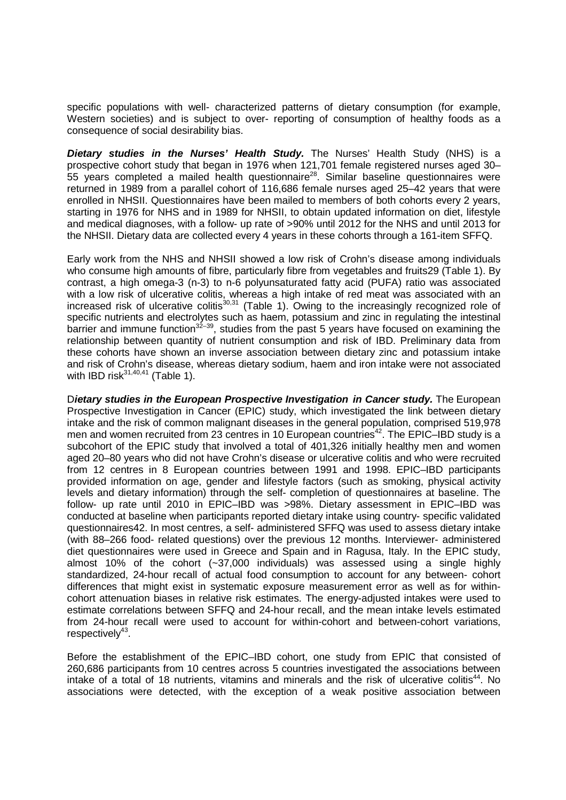specific populations with well- characterized patterns of dietary consumption (for example, Western societies) and is subject to over- reporting of consumption of healthy foods as a consequence of social desirability bias.

*Dietary studies in the Nurses' Health Study.* The Nurses' Health Study (NHS) is a prospective cohort study that began in 1976 when 121,701 female registered nurses aged 30–  $55$  years completed a mailed health questionnaire<sup>28</sup>. Similar baseline questionnaires were returned in 1989 from a parallel cohort of 116,686 female nurses aged 25–42 years that were enrolled in NHSII. Questionnaires have been mailed to members of both cohorts every 2 years, starting in 1976 for NHS and in 1989 for NHSII, to obtain updated information on diet, lifestyle and medical diagnoses, with a follow- up rate of >90% until 2012 for the NHS and until 2013 for the NHSII. Dietary data are collected every 4 years in these cohorts through a 161-item SFFQ.

Early work from the NHS and NHSII showed a low risk of Crohn's disease among individuals who consume high amounts of fibre, particularly fibre from vegetables and fruits29 (Table 1). By contrast, a high omega-3 (n-3) to n-6 polyunsaturated fatty acid (PUFA) ratio was associated with a low risk of ulcerative colitis, whereas a high intake of red meat was associated with an increased risk of ulcerative colitis $30,31$  (Table 1). Owing to the increasingly recognized role of specific nutrients and electrolytes such as haem, potassium and zinc in regulating the intestinal barrier and immune function $32-39$ , studies from the past 5 years have focused on examining the relationship between quantity of nutrient consumption and risk of IBD. Preliminary data from these cohorts have shown an inverse association between dietary zinc and potassium intake and risk of Crohn's disease, whereas dietary sodium, haem and iron intake were not associated with IBD risk $31,40,41$  (Table 1).

D*ietary studies in the European Prospective Investigation in Cancer study.* The European Prospective Investigation in Cancer (EPIC) study, which investigated the link between dietary intake and the risk of common malignant diseases in the general population, comprised 519,978 men and women recruited from 23 centres in 10 European countries<sup>42</sup>. The EPIC-IBD study is a subcohort of the EPIC study that involved a total of 401,326 initially healthy men and women aged 20–80 years who did not have Crohn's disease or ulcerative colitis and who were recruited from 12 centres in 8 European countries between 1991 and 1998. EPIC–IBD participants provided information on age, gender and lifestyle factors (such as smoking, physical activity levels and dietary information) through the self- completion of questionnaires at baseline. The follow- up rate until 2010 in EPIC–IBD was >98%. Dietary assessment in EPIC–IBD was conducted at baseline when participants reported dietary intake using country- specific validated questionnaires42. In most centres, a self- administered SFFQ was used to assess dietary intake (with 88–266 food- related questions) over the previous 12 months. Interviewer- administered diet questionnaires were used in Greece and Spain and in Ragusa, Italy. In the EPIC study, almost 10% of the cohort (~37,000 individuals) was assessed using a single highly standardized, 24-hour recall of actual food consumption to account for any between- cohort differences that might exist in systematic exposure measurement error as well as for withincohort attenuation biases in relative risk estimates. The energy-adjusted intakes were used to estimate correlations between SFFQ and 24-hour recall, and the mean intake levels estimated from 24-hour recall were used to account for within-cohort and between-cohort variations, respectively<sup>43</sup>.

Before the establishment of the EPIC–IBD cohort, one study from EPIC that consisted of 260,686 participants from 10 centres across 5 countries investigated the associations between intake of a total of 18 nutrients, vitamins and minerals and the risk of ulcerative colitis<sup>44</sup>. No associations were detected, with the exception of a weak positive association between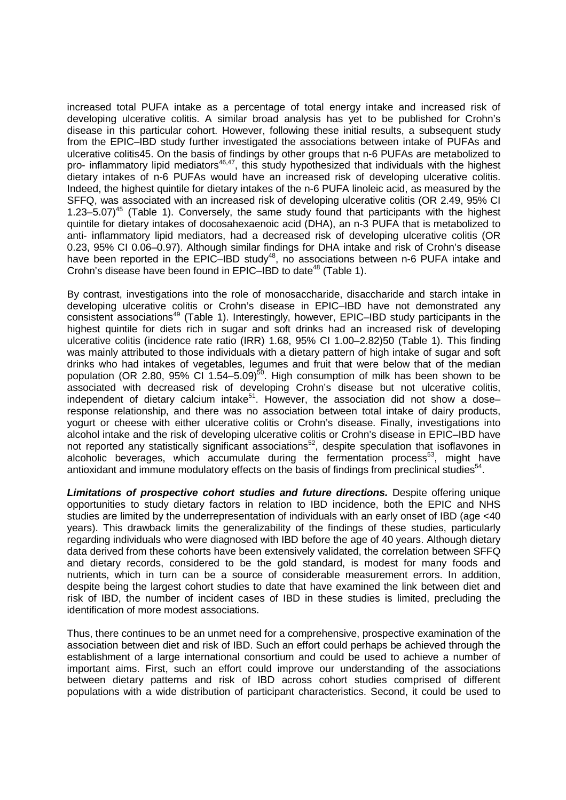increased total PUFA intake as a percentage of total energy intake and increased risk of developing ulcerative colitis. A similar broad analysis has yet to be published for Crohn's disease in this particular cohort. However, following these initial results, a subsequent study from the EPIC–IBD study further investigated the associations between intake of PUFAs and ulcerative colitis45. On the basis of findings by other groups that n-6 PUFAs are metabolized to pro- inflammatory lipid mediators<sup>46,47</sup>, this study hypothesized that individuals with the highest dietary intakes of n-6 PUFAs would have an increased risk of developing ulcerative colitis. Indeed, the highest quintile for dietary intakes of the n-6 PUFA linoleic acid, as measured by the SFFQ, was associated with an increased risk of developing ulcerative colitis (OR 2.49, 95% CI 1.23–5.07)<sup>45</sup> (Table 1). Conversely, the same study found that participants with the highest quintile for dietary intakes of docosahexaenoic acid (DHA), an n-3 PUFA that is metabolized to anti- inflammatory lipid mediators, had a decreased risk of developing ulcerative colitis (OR 0.23, 95% CI 0.06–0.97). Although similar findings for DHA intake and risk of Crohn's disease have been reported in the EPIC-IBD study<sup>48</sup>, no associations between n-6 PUFA intake and Crohn's disease have been found in EPIC–IBD to date<sup>48</sup> (Table 1).

By contrast, investigations into the role of monosaccharide, disaccharide and starch intake in developing ulcerative colitis or Crohn's disease in EPIC–IBD have not demonstrated any consistent associations<sup>49</sup> (Table 1). Interestingly, however, EPIC–IBD study participants in the highest quintile for diets rich in sugar and soft drinks had an increased risk of developing ulcerative colitis (incidence rate ratio (IRR) 1.68, 95% CI 1.00–2.82)50 (Table 1). This finding was mainly attributed to those individuals with a dietary pattern of high intake of sugar and soft drinks who had intakes of vegetables, legumes and fruit that were below that of the median population (OR 2.80, 95% CI 1.54–5.09)<sup>50</sup>. High consumption of milk has been shown to be associated with decreased risk of developing Crohn's disease but not ulcerative colitis, independent of dietary calcium intake<sup>51</sup>. However, the association did not show a doseresponse relationship, and there was no association between total intake of dairy products, yogurt or cheese with either ulcerative colitis or Crohn's disease. Finally, investigations into alcohol intake and the risk of developing ulcerative colitis or Crohn's disease in EPIC–IBD have not reported any statistically significant associations<sup>52</sup>, despite speculation that isoflavones in alcoholic beverages, which accumulate during the fermentation process<sup>53</sup>, might have antioxidant and immune modulatory effects on the basis of findings from preclinical studies $54$ .

*Limitations of prospective cohort studies and future directions.* Despite offering unique opportunities to study dietary factors in relation to IBD incidence, both the EPIC and NHS studies are limited by the underrepresentation of individuals with an early onset of IBD (age <40 years). This drawback limits the generalizability of the findings of these studies, particularly regarding individuals who were diagnosed with IBD before the age of 40 years. Although dietary data derived from these cohorts have been extensively validated, the correlation between SFFQ and dietary records, considered to be the gold standard, is modest for many foods and nutrients, which in turn can be a source of considerable measurement errors. In addition, despite being the largest cohort studies to date that have examined the link between diet and risk of IBD, the number of incident cases of IBD in these studies is limited, precluding the identification of more modest associations.

Thus, there continues to be an unmet need for a comprehensive, prospective examination of the association between diet and risk of IBD. Such an effort could perhaps be achieved through the establishment of a large international consortium and could be used to achieve a number of important aims. First, such an effort could improve our understanding of the associations between dietary patterns and risk of IBD across cohort studies comprised of different populations with a wide distribution of participant characteristics. Second, it could be used to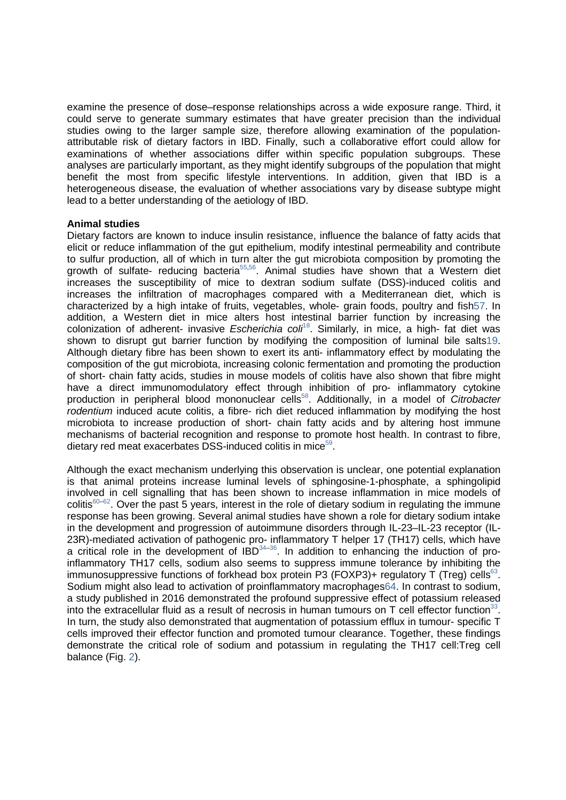examine the presence of dose–response relationships across a wide exposure range. Third, it could serve to generate summary estimates that have greater precision than the individual studies owing to the larger sample size, therefore allowing examination of the populationattributable risk of dietary factors in IBD. Finally, such a collaborative effort could allow for examinations of whether associations differ within specific population subgroups. These analyses are particularly important, as they might identify subgroups of the population that might benefit the most from specific lifestyle interventions. In addition, given that IBD is a heterogeneous disease, the evaluation of whether associations vary by disease subtype might lead to a better understanding of the aetiology of IBD.

### **Animal studies**

Dietary factors are known to induce insulin resistance, influence the balance of fatty acids that elicit or reduce inflammation of the gut epithelium, modify intestinal permeability and contribute to sulfur production, all of which in turn alter the gut microbiota composition by promoting the growth of sulfate- reducing bacteria<sup>55,56</sup>. Animal studies have shown that a Western diet increases the susceptibility of mice to dextran sodium sulfate (DSS)-induced colitis and increases the infiltration of macrophages compared with a Mediterranean diet, which is characterized by a high intake of fruits, vegetables, whole- grain foods, poultry and fish57. In addition, a Western diet in mice alters host intestinal barrier function by increasing the colonization of adherent- invasive *Escherichia coli*<sup>18</sup> . Similarly, in mice, a high- fat diet was shown to disrupt gut barrier function by modifying the composition of luminal bile salts19. Although dietary fibre has been shown to exert its anti- inflammatory effect by modulating the composition of the gut microbiota, increasing colonic fermentation and promoting the production of short- chain fatty acids, studies in mouse models of colitis have also shown that fibre might have a direct immunomodulatory effect through inhibition of pro- inflammatory cytokine production in peripheral blood mononuclear cells<sup>58</sup>. Additionally, in a model of *Citrobacter rodentium* induced acute colitis, a fibre- rich diet reduced inflammation by modifying the host microbiota to increase production of short- chain fatty acids and by altering host immune mechanisms of bacterial recognition and response to promote host health. In contrast to fibre, dietary red meat exacerbates DSS-induced colitis in mice<sup>59</sup>

Although the exact mechanism underlying this observation is unclear, one potential explanation is that animal proteins increase luminal levels of sphingosine-1-phosphate, a sphingolipid involved in cell signalling that has been shown to increase inflammation in mice models of colitis<sup>60–62</sup>. Over the past 5 years, interest in the role of dietary sodium in regulating the immune response has been growing. Several animal studies have shown a role for dietary sodium intake in the development and progression of autoimmune disorders through IL-23–IL-23 receptor (IL-23R)-mediated activation of pathogenic pro- inflammatory T helper 17 (TH17) cells, which have a critical role in the development of  $IBD^{34-36}$ . In addition to enhancing the induction of proinflammatory TH17 cells, sodium also seems to suppress immune tolerance by inhibiting the immunosuppressive functions of forkhead box protein P3 (FOXP3)+ regulatory T (Treg) cells<sup>63</sup>. Sodium might also lead to activation of proinflammatory macrophages64. In contrast to sodium, a study published in 2016 demonstrated the profound suppressive effect of potassium released into the extracellular fluid as a result of necrosis in human tumours on T cell effector function<sup>33</sup>. In turn, the study also demonstrated that augmentation of potassium efflux in tumour- specific T cells improved their effector function and promoted tumour clearance. Together, these findings demonstrate the critical role of sodium and potassium in regulating the TH17 cell:Treg cell balance (Fig. 2).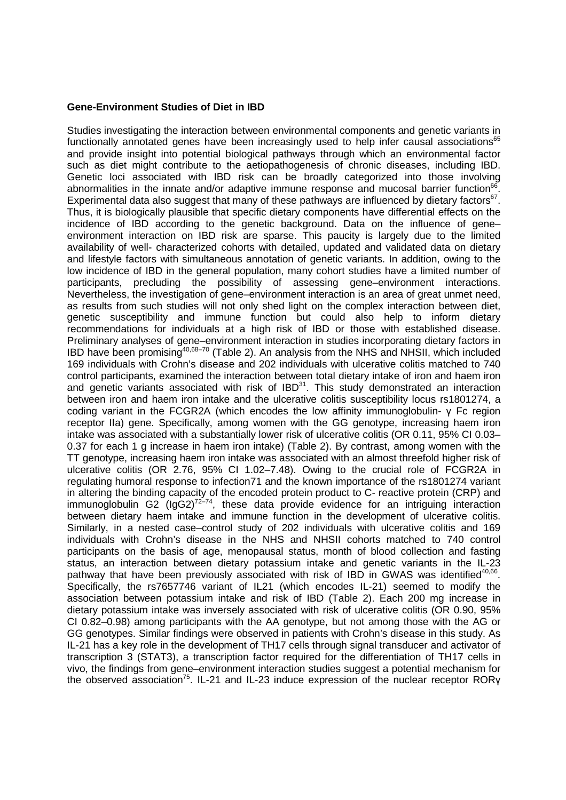#### **Gene-Environment Studies of Diet in IBD**

Studies investigating the interaction between environmental components and genetic variants in functionally annotated genes have been increasingly used to help infer causal associations<sup>65</sup> and provide insight into potential biological pathways through which an environmental factor such as diet might contribute to the aetiopathogenesis of chronic diseases, including IBD. Genetic loci associated with IBD risk can be broadly categorized into those involving abnormalities in the innate and/or adaptive immune response and mucosal barrier function $^{66}$ . Experimental data also suggest that many of these pathways are influenced by dietary factors $^{67}$ . Thus, it is biologically plausible that specific dietary components have differential effects on the incidence of IBD according to the genetic background. Data on the influence of gene– environment interaction on IBD risk are sparse. This paucity is largely due to the limited availability of well- characterized cohorts with detailed, updated and validated data on dietary and lifestyle factors with simultaneous annotation of genetic variants. In addition, owing to the low incidence of IBD in the general population, many cohort studies have a limited number of participants, precluding the possibility of assessing gene–environment interactions. Nevertheless, the investigation of gene–environment interaction is an area of great unmet need, as results from such studies will not only shed light on the complex interaction between diet, genetic susceptibility and immune function but could also help to inform dietary recommendations for individuals at a high risk of IBD or those with established disease. Preliminary analyses of gene–environment interaction in studies incorporating dietary factors in IBD have been promising40,68–70 (Table 2). An analysis from the NHS and NHSII, which included 169 individuals with Crohn's disease and 202 individuals with ulcerative colitis matched to 740 control participants, examined the interaction between total dietary intake of iron and haem iron and genetic variants associated with risk of  $IBD<sup>31</sup>$ . This study demonstrated an interaction between iron and haem iron intake and the ulcerative colitis susceptibility locus rs1801274, a coding variant in the FCGR2A (which encodes the low affinity immunoglobulin- γ Fc region receptor IIa) gene. Specifically, among women with the GG genotype, increasing haem iron intake was associated with a substantially lower risk of ulcerative colitis (OR 0.11, 95% CI 0.03– 0.37 for each 1 g increase in haem iron intake) (Table 2). By contrast, among women with the TT genotype, increasing haem iron intake was associated with an almost threefold higher risk of ulcerative colitis (OR 2.76, 95% CI 1.02–7.48). Owing to the crucial role of FCGR2A in regulating humoral response to infection71 and the known importance of the rs1801274 variant in altering the binding capacity of the encoded protein product to C- reactive protein (CRP) and immunoglobulin G2 (IgG2)<sup>72-74</sup>, these data provide evidence for an intriguing interaction between dietary haem intake and immune function in the development of ulcerative colitis. Similarly, in a nested case–control study of 202 individuals with ulcerative colitis and 169 individuals with Crohn's disease in the NHS and NHSII cohorts matched to 740 control participants on the basis of age, menopausal status, month of blood collection and fasting status, an interaction between dietary potassium intake and genetic variants in the IL-23 pathway that have been previously associated with risk of IBD in GWAS was identified<sup>40,66</sup>. Specifically, the rs7657746 variant of IL21 (which encodes IL-21) seemed to modify the association between potassium intake and risk of IBD (Table 2). Each 200 mg increase in dietary potassium intake was inversely associated with risk of ulcerative colitis (OR 0.90, 95% CI 0.82–0.98) among participants with the AA genotype, but not among those with the AG or GG genotypes. Similar findings were observed in patients with Crohn's disease in this study. As IL-21 has a key role in the development of TH17 cells through signal transducer and activator of transcription 3 (STAT3), a transcription factor required for the differentiation of TH17 cells in vivo, the findings from gene–environment interaction studies suggest a potential mechanism for the observed association<sup>75</sup>. IL-21 and IL-23 induce expression of the nuclear receptor RORy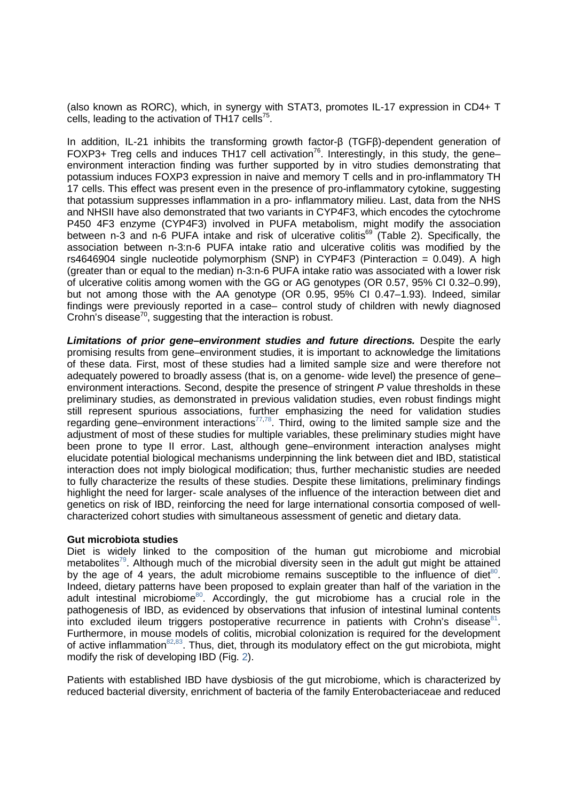(also known as RORC), which, in synergy with STAT3, promotes IL-17 expression in CD4+ T cells, leading to the activation of TH17 cells<sup>75</sup>.

In addition, IL-21 inhibits the transforming growth factor-β (TGFβ)-dependent generation of FOXP3+ Treg cells and induces TH17 cell activation<sup>76</sup>. Interestingly, in this study, the geneenvironment interaction finding was further supported by in vitro studies demonstrating that potassium induces FOXP3 expression in naive and memory T cells and in pro-inflammatory TH 17 cells. This effect was present even in the presence of pro-inflammatory cytokine, suggesting that potassium suppresses inflammation in a pro- inflammatory milieu. Last, data from the NHS and NHSII have also demonstrated that two variants in CYP4F3, which encodes the cytochrome P450 4F3 enzyme (CYP4F3) involved in PUFA metabolism, might modify the association between n-3 and n-6 PUFA intake and risk of ulcerative colitis<sup>69</sup> (Table 2). Specifically, the association between n-3:n-6 PUFA intake ratio and ulcerative colitis was modified by the rs4646904 single nucleotide polymorphism (SNP) in CYP4F3 (Pinteraction = 0.049). A high (greater than or equal to the median) n-3:n-6 PUFA intake ratio was associated with a lower risk of ulcerative colitis among women with the GG or AG genotypes (OR 0.57, 95% CI 0.32–0.99), but not among those with the AA genotype (OR 0.95, 95% CI 0.47–1.93). Indeed, similar findings were previously reported in a case– control study of children with newly diagnosed Crohn's disease<sup>70</sup>, suggesting that the interaction is robust.

*Limitations of prior gene–environment studies and future directions.* Despite the early promising results from gene–environment studies, it is important to acknowledge the limitations of these data. First, most of these studies had a limited sample size and were therefore not adequately powered to broadly assess (that is, on a genome- wide level) the presence of gene– environment interactions. Second, despite the presence of stringent *P* value thresholds in these preliminary studies, as demonstrated in previous validation studies, even robust findings might still represent spurious associations, further emphasizing the need for validation studies regarding gene–environment interactions $77,78$ . Third, owing to the limited sample size and the adjustment of most of these studies for multiple variables, these preliminary studies might have been prone to type II error. Last, although gene–environment interaction analyses might elucidate potential biological mechanisms underpinning the link between diet and IBD, statistical interaction does not imply biological modification; thus, further mechanistic studies are needed to fully characterize the results of these studies. Despite these limitations, preliminary findings highlight the need for larger- scale analyses of the influence of the interaction between diet and genetics on risk of IBD, reinforcing the need for large international consortia composed of wellcharacterized cohort studies with simultaneous assessment of genetic and dietary data.

### **Gut microbiota studies**

Diet is widely linked to the composition of the human gut microbiome and microbial metabolites<sup>79</sup>. Although much of the microbial diversity seen in the adult gut might be attained by the age of 4 years, the adult microbiome remains susceptible to the influence of diet $^{80}$ . Indeed, dietary patterns have been proposed to explain greater than half of the variation in the adult intestinal microbiome<sup>80</sup>. Accordingly, the gut microbiome has a crucial role in the pathogenesis of IBD, as evidenced by observations that infusion of intestinal luminal contents into excluded ileum triggers postoperative recurrence in patients with Crohn's disease $81$ . Furthermore, in mouse models of colitis, microbial colonization is required for the development of active inflammation<sup>82,83</sup>. Thus, diet, through its modulatory effect on the gut microbiota, might modify the risk of developing IBD (Fig. 2).

Patients with established IBD have dysbiosis of the gut microbiome, which is characterized by reduced bacterial diversity, enrichment of bacteria of the family Enterobacteriaceae and reduced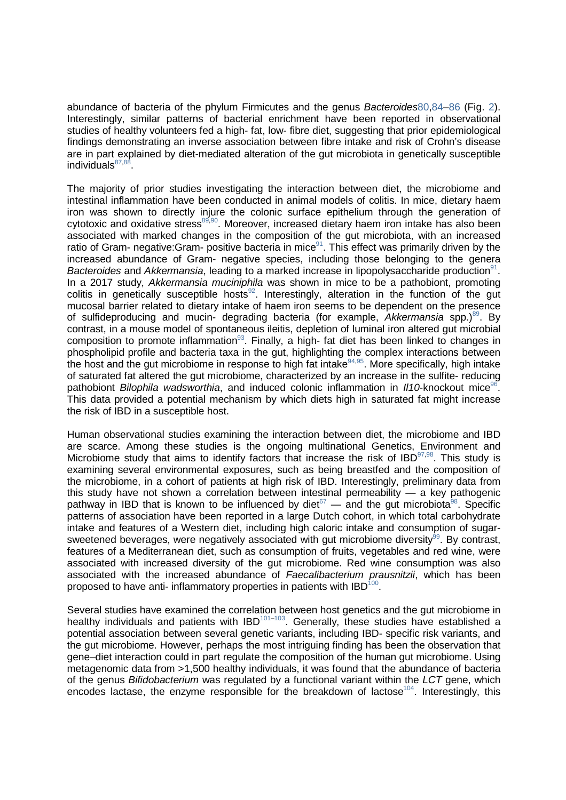abundance of bacteria of the phylum Firmicutes and the genus *Bacteroides*80,84–86 (Fig. 2). Interestingly, similar patterns of bacterial enrichment have been reported in observational studies of healthy volunteers fed a high- fat, low- fibre diet, suggesting that prior epidemiological findings demonstrating an inverse association between fibre intake and risk of Crohn's disease are in part explained by diet-mediated alteration of the gut microbiota in genetically susceptible individuals $^{\mathrm{87,88}}$ 

The majority of prior studies investigating the interaction between diet, the microbiome and intestinal inflammation have been conducted in animal models of colitis. In mice, dietary haem iron was shown to directly injure the colonic surface epithelium through the generation of cytotoxic and oxidative stress<sup>89,90</sup>. Moreover, increased dietary haem iron intake has also been associated with marked changes in the composition of the gut microbiota, with an increased ratio of Gram- negative: Gram- positive bacteria in mice<sup>91</sup>. This effect was primarily driven by the increased abundance of Gram- negative species, including those belonging to the genera Bacteroides and Akkermansia, leading to a marked increase in lipopolysaccharide production<sup>91</sup>. In a 2017 study, *Akkermansia muciniphila* was shown in mice to be a pathobiont, promoting colitis in genetically susceptible hosts $92$ . Interestingly, alteration in the function of the gut mucosal barrier related to dietary intake of haem iron seems to be dependent on the presence of sulfideproducing and mucin- degrading bacteria (for example, Akkermansia spp.)<sup>89</sup>. By contrast, in a mouse model of spontaneous ileitis, depletion of luminal iron altered gut microbial composition to promote inflammation<sup>93</sup>. Finally, a high- fat diet has been linked to changes in phospholipid profile and bacteria taxa in the gut, highlighting the complex interactions between the host and the gut microbiome in response to high fat intake $94,95$ . More specifically, high intake of saturated fat altered the gut microbiome, characterized by an increase in the sulfite- reducing pathobiont *Bilophila wadsworthia*, and induced colonic inflammation in *II10*-knockout mice<sup>96</sup>. This data provided a potential mechanism by which diets high in saturated fat might increase the risk of IBD in a susceptible host.

Human observational studies examining the interaction between diet, the microbiome and IBD are scarce. Among these studies is the ongoing multinational Genetics, Environment and Microbiome study that aims to identify factors that increase the risk of  $IBD<sup>97,98</sup>$ . This study is examining several environmental exposures, such as being breastfed and the composition of the microbiome, in a cohort of patients at high risk of IBD. Interestingly, preliminary data from this study have not shown a correlation between intestinal permeability — a key pathogenic pathway in IBD that is known to be influenced by diet<sup>67</sup> — and the gut microbiota<sup>98</sup>. Specific patterns of association have been reported in a large Dutch cohort, in which total carbohydrate intake and features of a Western diet, including high caloric intake and consumption of sugarsweetened beverages, were negatively associated with gut microbiome diversity<sup>99</sup>. By contrast, features of a Mediterranean diet, such as consumption of fruits, vegetables and red wine, were associated with increased diversity of the gut microbiome. Red wine consumption was also associated with the increased abundance of *Faecalibacterium prausnitzii*, which has been proposed to have anti- inflammatory properties in patients with IBD $^{100}$ .

Several studies have examined the correlation between host genetics and the gut microbiome in healthy individuals and patients with  $IBD<sup>101–103</sup>$ . Generally, these studies have established a potential association between several genetic variants, including IBD- specific risk variants, and the gut microbiome. However, perhaps the most intriguing finding has been the observation that gene–diet interaction could in part regulate the composition of the human gut microbiome. Using metagenomic data from >1,500 healthy individuals, it was found that the abundance of bacteria of the genus *Bifidobacterium* was regulated by a functional variant within the *LCT* gene, which encodes lactase, the enzyme responsible for the breakdown of lactose<sup>104</sup>. Interestingly, this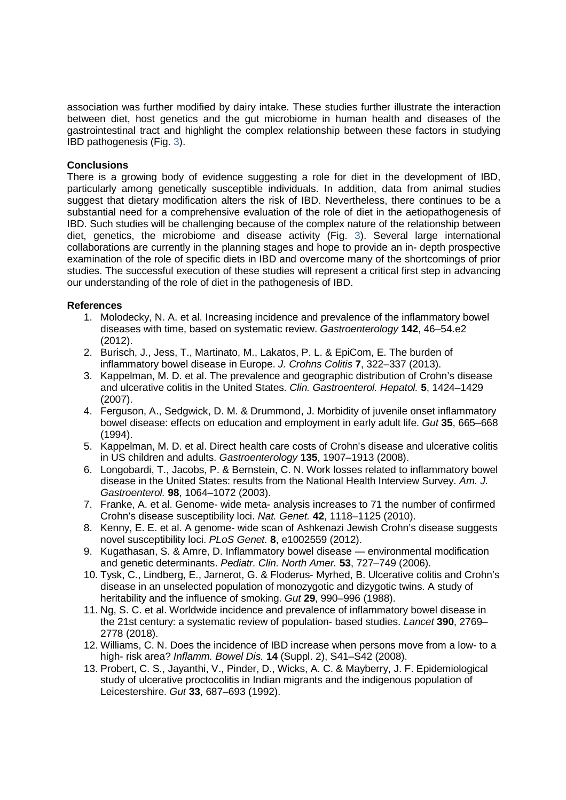association was further modified by dairy intake. These studies further illustrate the interaction between diet, host genetics and the gut microbiome in human health and diseases of the gastrointestinal tract and highlight the complex relationship between these factors in studying IBD pathogenesis (Fig. 3).

# **Conclusions**

There is a growing body of evidence suggesting a role for diet in the development of IBD, particularly among genetically susceptible individuals. In addition, data from animal studies suggest that dietary modification alters the risk of IBD. Nevertheless, there continues to be a substantial need for a comprehensive evaluation of the role of diet in the aetiopathogenesis of IBD. Such studies will be challenging because of the complex nature of the relationship between diet, genetics, the microbiome and disease activity (Fig. 3). Several large international collaborations are currently in the planning stages and hope to provide an in- depth prospective examination of the role of specific diets in IBD and overcome many of the shortcomings of prior studies. The successful execution of these studies will represent a critical first step in advancing our understanding of the role of diet in the pathogenesis of IBD.

# **References**

- 1. Molodecky, N. A. et al. Increasing incidence and prevalence of the inflammatory bowel diseases with time, based on systematic review. *Gastroenterology* **142**, 46–54.e2 (2012).
- 2. Burisch, J., Jess, T., Martinato, M., Lakatos, P. L. & EpiCom, E. The burden of inflammatory bowel disease in Europe. *J. Crohns Colitis* **7**, 322–337 (2013).
- 3. Kappelman, M. D. et al. The prevalence and geographic distribution of Crohn's disease and ulcerative colitis in the United States. *Clin. Gastroenterol. Hepatol.* **5**, 1424–1429 (2007).
- 4. Ferguson, A., Sedgwick, D. M. & Drummond, J. Morbidity of juvenile onset inflammatory bowel disease: effects on education and employment in early adult life. *Gut* **35**, 665–668 (1994).
- 5. Kappelman, M. D. et al. Direct health care costs of Crohn's disease and ulcerative colitis in US children and adults. *Gastroenterology* **135**, 1907–1913 (2008).
- 6. Longobardi, T., Jacobs, P. & Bernstein, C. N. Work losses related to inflammatory bowel disease in the United States: results from the National Health Interview Survey. *Am. J. Gastroenterol.* **98**, 1064–1072 (2003).
- 7. Franke, A. et al. Genome- wide meta- analysis increases to 71 the number of confirmed Crohn's disease susceptibility loci. *Nat. Genet.* **42**, 1118–1125 (2010).
- 8. Kenny, E. E. et al. A genome- wide scan of Ashkenazi Jewish Crohn's disease suggests novel susceptibility loci. *PLoS Genet.* **8**, e1002559 (2012).
- 9. Kugathasan, S. & Amre, D. Inflammatory bowel disease environmental modification and genetic determinants. *Pediatr. Clin. North Amer.* **53**, 727–749 (2006).
- 10. Tysk, C., Lindberg, E., Jarnerot, G. & Floderus- Myrhed, B. Ulcerative colitis and Crohn's disease in an unselected population of monozygotic and dizygotic twins. A study of heritability and the influence of smoking. *Gut* **29**, 990–996 (1988).
- 11. Ng, S. C. et al. Worldwide incidence and prevalence of inflammatory bowel disease in the 21st century: a systematic review of population- based studies. *Lancet* **390**, 2769– 2778 (2018).
- 12. Williams, C. N. Does the incidence of IBD increase when persons move from a low- to a high- risk area? *Inflamm. Bowel Dis.* **14** (Suppl. 2), S41–S42 (2008).
- 13. Probert, C. S., Jayanthi, V., Pinder, D., Wicks, A. C. & Mayberry, J. F. Epidemiological study of ulcerative proctocolitis in Indian migrants and the indigenous population of Leicestershire. *Gut* **33**, 687–693 (1992).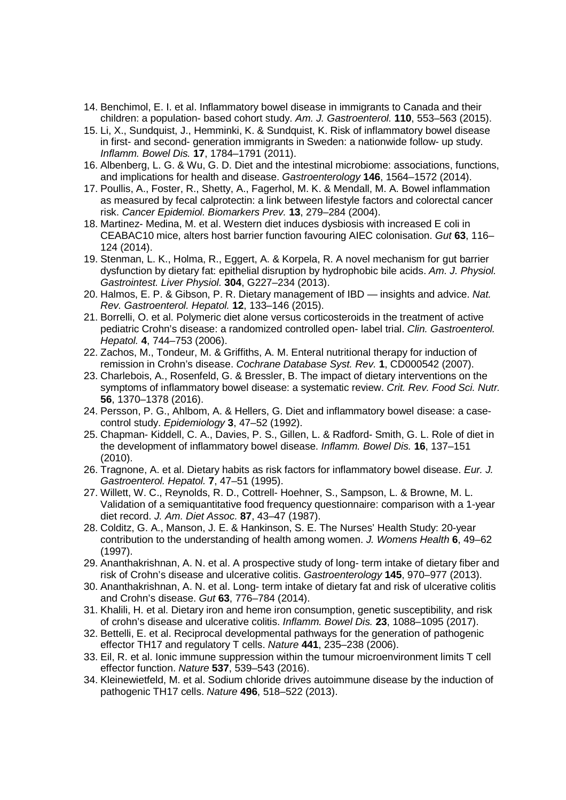- 14. Benchimol, E. I. et al. Inflammatory bowel disease in immigrants to Canada and their children: a population- based cohort study. *Am. J. Gastroenterol.* **110**, 553–563 (2015).
- 15. Li, X., Sundquist, J., Hemminki, K. & Sundquist, K. Risk of inflammatory bowel disease in first- and second- generation immigrants in Sweden: a nationwide follow- up study. *Inflamm. Bowel Dis.* **17**, 1784–1791 (2011).
- 16. Albenberg, L. G. & Wu, G. D. Diet and the intestinal microbiome: associations, functions, and implications for health and disease. *Gastroenterology* **146**, 1564–1572 (2014).
- 17. Poullis, A., Foster, R., Shetty, A., Fagerhol, M. K. & Mendall, M. A. Bowel inflammation as measured by fecal calprotectin: a link between lifestyle factors and colorectal cancer risk. *Cancer Epidemiol. Biomarkers Prev.* **13**, 279–284 (2004).
- 18. Martinez- Medina, M. et al. Western diet induces dysbiosis with increased E coli in CEABAC10 mice, alters host barrier function favouring AIEC colonisation. *Gut* **63**, 116– 124 (2014).
- 19. Stenman, L. K., Holma, R., Eggert, A. & Korpela, R. A novel mechanism for gut barrier dysfunction by dietary fat: epithelial disruption by hydrophobic bile acids. *Am. J. Physiol. Gastrointest. Liver Physiol.* **304**, G227–234 (2013).
- 20. Halmos, E. P. & Gibson, P. R. Dietary management of IBD insights and advice. *Nat. Rev. Gastroenterol. Hepatol.* **12**, 133–146 (2015).
- 21. Borrelli, O. et al. Polymeric diet alone versus corticosteroids in the treatment of active pediatric Crohn's disease: a randomized controlled open- label trial. *Clin. Gastroenterol. Hepatol.* **4**, 744–753 (2006).
- 22. Zachos, M., Tondeur, M. & Griffiths, A. M. Enteral nutritional therapy for induction of remission in Crohn's disease. *Cochrane Database Syst. Rev.* **1**, CD000542 (2007).
- 23. Charlebois, A., Rosenfeld, G. & Bressler, B. The impact of dietary interventions on the symptoms of inflammatory bowel disease: a systematic review. *Crit. Rev. Food Sci. Nutr.*  **56**, 1370–1378 (2016).
- 24. Persson, P. G., Ahlbom, A. & Hellers, G. Diet and inflammatory bowel disease: a casecontrol study. *Epidemiology* **3**, 47–52 (1992).
- 25. Chapman- Kiddell, C. A., Davies, P. S., Gillen, L. & Radford- Smith, G. L. Role of diet in the development of inflammatory bowel disease. *Inflamm. Bowel Dis.* **16**, 137–151 (2010).
- 26. Tragnone, A. et al. Dietary habits as risk factors for inflammatory bowel disease. *Eur. J. Gastroenterol. Hepatol.* **7**, 47–51 (1995).
- 27. Willett, W. C., Reynolds, R. D., Cottrell- Hoehner, S., Sampson, L. & Browne, M. L. Validation of a semiquantitative food frequency questionnaire: comparison with a 1-year diet record. *J. Am. Diet Assoc.* **87**, 43–47 (1987).
- 28. Colditz, G. A., Manson, J. E. & Hankinson, S. E. The Nurses' Health Study: 20-year contribution to the understanding of health among women. *J. Womens Health* **6**, 49–62 (1997).
- 29. Ananthakrishnan, A. N. et al. A prospective study of long- term intake of dietary fiber and risk of Crohn's disease and ulcerative colitis. *Gastroenterology* **145**, 970–977 (2013).
- 30. Ananthakrishnan, A. N. et al. Long- term intake of dietary fat and risk of ulcerative colitis and Crohn's disease. *Gut* **63**, 776–784 (2014).
- 31. Khalili, H. et al. Dietary iron and heme iron consumption, genetic susceptibility, and risk of crohn's disease and ulcerative colitis. *Inflamm. Bowel Dis.* **23**, 1088–1095 (2017).
- 32. Bettelli, E. et al. Reciprocal developmental pathways for the generation of pathogenic effector TH17 and regulatory T cells. *Nature* **441**, 235–238 (2006).
- 33. Eil, R. et al. Ionic immune suppression within the tumour microenvironment limits T cell effector function. *Nature* **537**, 539–543 (2016).
- 34. Kleinewietfeld, M. et al. Sodium chloride drives autoimmune disease by the induction of pathogenic TH17 cells. *Nature* **496**, 518–522 (2013).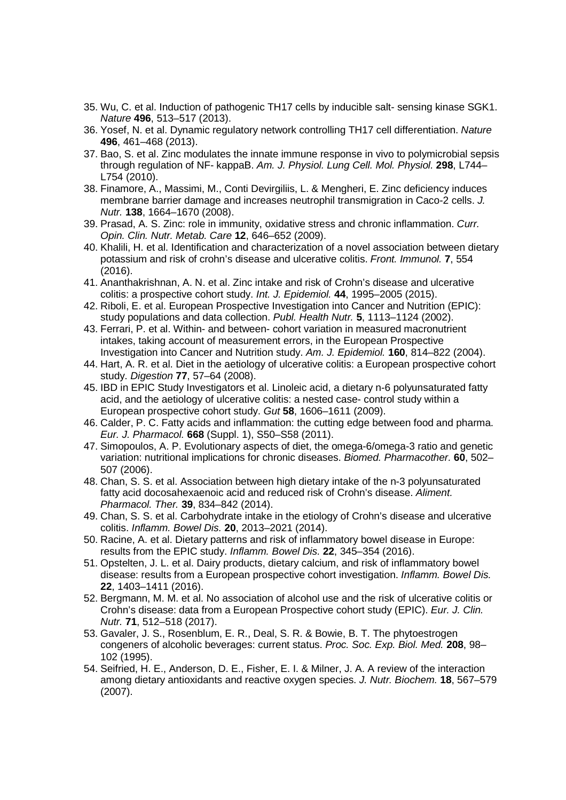- 35. Wu, C. et al. Induction of pathogenic TH17 cells by inducible salt- sensing kinase SGK1. *Nature* **496**, 513–517 (2013).
- 36. Yosef, N. et al. Dynamic regulatory network controlling TH17 cell differentiation. *Nature*  **496**, 461–468 (2013).
- 37. Bao, S. et al. Zinc modulates the innate immune response in vivo to polymicrobial sepsis through regulation of NF- kappaB. *Am. J. Physiol. Lung Cell. Mol. Physiol.* **298**, L744– L754 (2010).
- 38. Finamore, A., Massimi, M., Conti Devirgiliis, L. & Mengheri, E. Zinc deficiency induces membrane barrier damage and increases neutrophil transmigration in Caco-2 cells. *J. Nutr.* **138**, 1664–1670 (2008).
- 39. Prasad, A. S. Zinc: role in immunity, oxidative stress and chronic inflammation. *Curr. Opin. Clin. Nutr. Metab. Care* **12**, 646–652 (2009).
- 40. Khalili, H. et al. Identification and characterization of a novel association between dietary potassium and risk of crohn's disease and ulcerative colitis. *Front. Immunol.* **7**, 554 (2016).
- 41. Ananthakrishnan, A. N. et al. Zinc intake and risk of Crohn's disease and ulcerative colitis: a prospective cohort study. *Int. J. Epidemiol.* **44**, 1995–2005 (2015).
- 42. Riboli, E. et al. European Prospective Investigation into Cancer and Nutrition (EPIC): study populations and data collection. *Publ. Health Nutr.* **5**, 1113–1124 (2002).
- 43. Ferrari, P. et al. Within- and between- cohort variation in measured macronutrient intakes, taking account of measurement errors, in the European Prospective Investigation into Cancer and Nutrition study. *Am. J. Epidemiol.* **160**, 814–822 (2004).
- 44. Hart, A. R. et al. Diet in the aetiology of ulcerative colitis: a European prospective cohort study. *Digestion* **77**, 57–64 (2008).
- 45. IBD in EPIC Study Investigators et al. Linoleic acid, a dietary n-6 polyunsaturated fatty acid, and the aetiology of ulcerative colitis: a nested case- control study within a European prospective cohort study. *Gut* **58**, 1606–1611 (2009).
- 46. Calder, P. C. Fatty acids and inflammation: the cutting edge between food and pharma. *Eur. J. Pharmacol.* **668** (Suppl. 1), S50–S58 (2011).
- 47. Simopoulos, A. P. Evolutionary aspects of diet, the omega-6/omega-3 ratio and genetic variation: nutritional implications for chronic diseases. *Biomed. Pharmacother.* **60**, 502– 507 (2006).
- 48. Chan, S. S. et al. Association between high dietary intake of the n-3 polyunsaturated fatty acid docosahexaenoic acid and reduced risk of Crohn's disease. *Aliment. Pharmacol. Ther.* **39**, 834–842 (2014).
- 49. Chan, S. S. et al. Carbohydrate intake in the etiology of Crohn's disease and ulcerative colitis. *Inflamm. Bowel Dis.* **20**, 2013–2021 (2014).
- 50. Racine, A. et al. Dietary patterns and risk of inflammatory bowel disease in Europe: results from the EPIC study. *Inflamm. Bowel Dis.* **22**, 345–354 (2016).
- 51. Opstelten, J. L. et al. Dairy products, dietary calcium, and risk of inflammatory bowel disease: results from a European prospective cohort investigation. *Inflamm. Bowel Dis.*  **22**, 1403–1411 (2016).
- 52. Bergmann, M. M. et al. No association of alcohol use and the risk of ulcerative colitis or Crohn's disease: data from a European Prospective cohort study (EPIC). *Eur. J. Clin. Nutr.* **71**, 512–518 (2017).
- 53. Gavaler, J. S., Rosenblum, E. R., Deal, S. R. & Bowie, B. T. The phytoestrogen congeners of alcoholic beverages: current status. *Proc. Soc. Exp. Biol. Med.* **208**, 98– 102 (1995).
- 54. Seifried, H. E., Anderson, D. E., Fisher, E. I. & Milner, J. A. A review of the interaction among dietary antioxidants and reactive oxygen species. *J. Nutr. Biochem.* **18**, 567–579 (2007).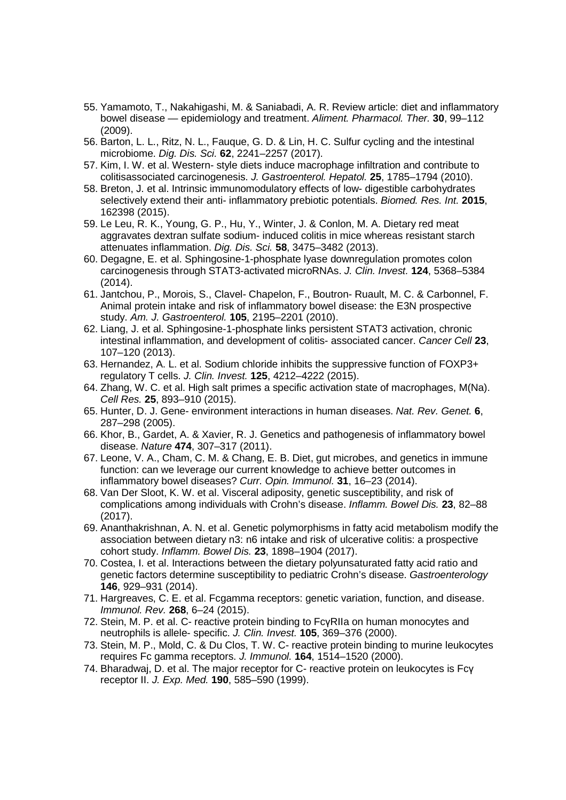- 55. Yamamoto, T., Nakahigashi, M. & Saniabadi, A. R. Review article: diet and inflammatory bowel disease — epidemiology and treatment. *Aliment. Pharmacol. Ther.* **30**, 99–112 (2009).
- 56. Barton, L. L., Ritz, N. L., Fauque, G. D. & Lin, H. C. Sulfur cycling and the intestinal microbiome. *Dig. Dis. Sci.* **62**, 2241–2257 (2017).
- 57. Kim, I. W. et al. Western- style diets induce macrophage infiltration and contribute to colitisassociated carcinogenesis. *J. Gastroenterol. Hepatol.* **25**, 1785–1794 (2010).
- 58. Breton, J. et al. Intrinsic immunomodulatory effects of low- digestible carbohydrates selectively extend their anti- inflammatory prebiotic potentials. *Biomed. Res. Int.* **2015**, 162398 (2015).
- 59. Le Leu, R. K., Young, G. P., Hu, Y., Winter, J. & Conlon, M. A. Dietary red meat aggravates dextran sulfate sodium- induced colitis in mice whereas resistant starch attenuates inflammation. *Dig. Dis. Sci.* **58**, 3475–3482 (2013).
- 60. Degagne, E. et al. Sphingosine-1-phosphate lyase downregulation promotes colon carcinogenesis through STAT3-activated microRNAs. *J. Clin. Invest.* **124**, 5368–5384 (2014).
- 61. Jantchou, P., Morois, S., Clavel- Chapelon, F., Boutron- Ruault, M. C. & Carbonnel, F. Animal protein intake and risk of inflammatory bowel disease: the E3N prospective study. *Am. J. Gastroenterol.* **105**, 2195–2201 (2010).
- 62. Liang, J. et al. Sphingosine-1-phosphate links persistent STAT3 activation, chronic intestinal inflammation, and development of colitis- associated cancer. *Cancer Cell* **23**, 107–120 (2013).
- 63. Hernandez, A. L. et al. Sodium chloride inhibits the suppressive function of FOXP3+ regulatory T cells. *J. Clin. Invest.* **125**, 4212–4222 (2015).
- 64. Zhang, W. C. et al. High salt primes a specific activation state of macrophages, M(Na). *Cell Res.* **25**, 893–910 (2015).
- 65. Hunter, D. J. Gene- environment interactions in human diseases. *Nat. Rev. Genet.* **6**, 287–298 (2005).
- 66. Khor, B., Gardet, A. & Xavier, R. J. Genetics and pathogenesis of inflammatory bowel disease. *Nature* **474**, 307–317 (2011).
- 67. Leone, V. A., Cham, C. M. & Chang, E. B. Diet, gut microbes, and genetics in immune function: can we leverage our current knowledge to achieve better outcomes in inflammatory bowel diseases? *Curr. Opin. Immunol.* **31**, 16–23 (2014).
- 68. Van Der Sloot, K. W. et al. Visceral adiposity, genetic susceptibility, and risk of complications among individuals with Crohn's disease. *Inflamm. Bowel Dis.* **23**, 82–88 (2017).
- 69. Ananthakrishnan, A. N. et al. Genetic polymorphisms in fatty acid metabolism modify the association between dietary n3: n6 intake and risk of ulcerative colitis: a prospective cohort study. *Inflamm. Bowel Dis.* **23**, 1898–1904 (2017).
- 70. Costea, I. et al. Interactions between the dietary polyunsaturated fatty acid ratio and genetic factors determine susceptibility to pediatric Crohn's disease. *Gastroenterology*  **146**, 929–931 (2014).
- 71. Hargreaves, C. E. et al. Fcgamma receptors: genetic variation, function, and disease. *Immunol. Rev.* **268**, 6–24 (2015).
- 72. Stein, M. P. et al. C- reactive protein binding to FcγRIIa on human monocytes and neutrophils is allele- specific. *J. Clin. Invest.* **105**, 369–376 (2000).
- 73. Stein, M. P., Mold, C. & Du Clos, T. W. C- reactive protein binding to murine leukocytes requires Fc gamma receptors. *J. Immunol.* **164**, 1514–1520 (2000).
- 74. Bharadwaj, D. et al. The major receptor for C- reactive protein on leukocytes is Fcγ receptor II. *J. Exp. Med.* **190**, 585–590 (1999).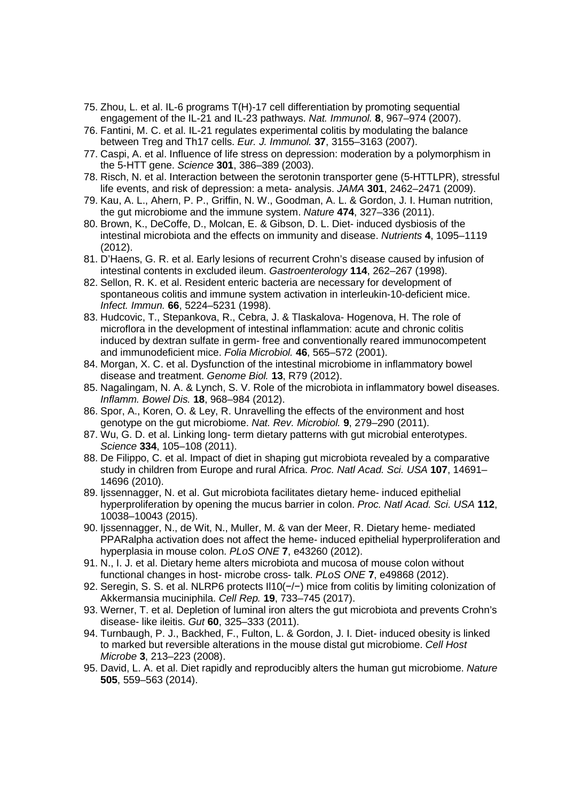- 75. Zhou, L. et al. IL-6 programs T(H)-17 cell differentiation by promoting sequential engagement of the IL-21 and IL-23 pathways. *Nat. Immunol.* **8**, 967–974 (2007).
- 76. Fantini, M. C. et al. IL-21 regulates experimental colitis by modulating the balance between Treg and Th17 cells. *Eur. J. Immunol.* **37**, 3155–3163 (2007).
- 77. Caspi, A. et al. Influence of life stress on depression: moderation by a polymorphism in the 5-HTT gene. *Science* **301**, 386–389 (2003).
- 78. Risch, N. et al. Interaction between the serotonin transporter gene (5-HTTLPR), stressful life events, and risk of depression: a meta- analysis. *JAMA* **301**, 2462–2471 (2009).
- 79. Kau, A. L., Ahern, P. P., Griffin, N. W., Goodman, A. L. & Gordon, J. I. Human nutrition, the gut microbiome and the immune system. *Nature* **474**, 327–336 (2011).
- 80. Brown, K., DeCoffe, D., Molcan, E. & Gibson, D. L. Diet- induced dysbiosis of the intestinal microbiota and the effects on immunity and disease. *Nutrients* **4**, 1095–1119 (2012).
- 81. D'Haens, G. R. et al. Early lesions of recurrent Crohn's disease caused by infusion of intestinal contents in excluded ileum. *Gastroenterology* **114**, 262–267 (1998).
- 82. Sellon, R. K. et al. Resident enteric bacteria are necessary for development of spontaneous colitis and immune system activation in interleukin-10-deficient mice. *Infect. Immun.* **66**, 5224–5231 (1998).
- 83. Hudcovic, T., Stepankova, R., Cebra, J. & Tlaskalova- Hogenova, H. The role of microflora in the development of intestinal inflammation: acute and chronic colitis induced by dextran sulfate in germ- free and conventionally reared immunocompetent and immunodeficient mice. *Folia Microbiol.* **46**, 565–572 (2001).
- 84. Morgan, X. C. et al. Dysfunction of the intestinal microbiome in inflammatory bowel disease and treatment. *Genome Biol.* **13**, R79 (2012).
- 85. Nagalingam, N. A. & Lynch, S. V. Role of the microbiota in inflammatory bowel diseases. *Inflamm. Bowel Dis.* **18**, 968–984 (2012).
- 86. Spor, A., Koren, O. & Ley, R. Unravelling the effects of the environment and host genotype on the gut microbiome. *Nat. Rev. Microbiol.* **9**, 279–290 (2011).
- 87. Wu, G. D. et al. Linking long- term dietary patterns with gut microbial enterotypes. *Science* **334**, 105–108 (2011).
- 88. De Filippo, C. et al. Impact of diet in shaping gut microbiota revealed by a comparative study in children from Europe and rural Africa. *Proc. Natl Acad. Sci. USA* **107**, 14691– 14696 (2010).
- 89. Ijssennagger, N. et al. Gut microbiota facilitates dietary heme- induced epithelial hyperproliferation by opening the mucus barrier in colon. *Proc. Natl Acad. Sci. USA* **112**, 10038–10043 (2015).
- 90. Ijssennagger, N., de Wit, N., Muller, M. & van der Meer, R. Dietary heme- mediated PPARalpha activation does not affect the heme- induced epithelial hyperproliferation and hyperplasia in mouse colon. *PLoS ONE* **7**, e43260 (2012).
- 91. N., I. J. et al. Dietary heme alters microbiota and mucosa of mouse colon without functional changes in host- microbe cross- talk. *PLoS ONE* **7**, e49868 (2012).
- 92. Seregin, S. S. et al. NLRP6 protects II10(-/-) mice from colitis by limiting colonization of Akkermansia muciniphila. *Cell Rep.* **19**, 733–745 (2017).
- 93. Werner, T. et al. Depletion of luminal iron alters the gut microbiota and prevents Crohn's disease- like ileitis. *Gut* **60**, 325–333 (2011).
- 94. Turnbaugh, P. J., Backhed, F., Fulton, L. & Gordon, J. I. Diet- induced obesity is linked to marked but reversible alterations in the mouse distal gut microbiome. *Cell Host Microbe* **3**, 213–223 (2008).
- 95. David, L. A. et al. Diet rapidly and reproducibly alters the human gut microbiome. *Nature*  **505**, 559–563 (2014).